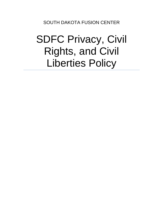SOUTH DAKOTA FUSION CENTER

# SDFC Privacy, Civil Rights, and Civil Liberties Policy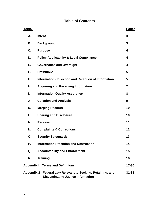# **Table of Contents**

| <u>Topic</u>                                                                                           |                                                            | <b>Pages</b>   |
|--------------------------------------------------------------------------------------------------------|------------------------------------------------------------|----------------|
| А.                                                                                                     | <b>Intent</b>                                              | 3              |
| В.                                                                                                     | <b>Background</b>                                          | 3              |
| C.                                                                                                     | <b>Purpose</b>                                             | 4              |
| D.                                                                                                     | <b>Policy Applicability &amp; Legal Compliance</b>         | 4              |
| Е.                                                                                                     | <b>Governance and Oversight</b>                            | 4              |
| F.                                                                                                     | <b>Definitions</b>                                         | 5              |
| G.                                                                                                     | <b>Information Collection and Retention of Information</b> | 5              |
| Н.                                                                                                     | <b>Acquiring and Receiving Information</b>                 | $\overline{7}$ |
| I.                                                                                                     | <b>Information Quality Assurance</b>                       | 8              |
| J.                                                                                                     | <b>Collation and Analysis</b>                              | 9              |
| Κ.                                                                                                     | <b>Merging Records</b>                                     | 10             |
| L.                                                                                                     | <b>Sharing and Disclosure</b>                              | 10             |
| Μ.                                                                                                     | <b>Redress</b>                                             | 11             |
| N.                                                                                                     | <b>Complaints &amp; Corrections</b>                        | 12             |
| О.                                                                                                     | <b>Security Safeguards</b>                                 | 13             |
| Р.                                                                                                     | <b>Information Retention and Destruction</b>               | 14             |
| Q.                                                                                                     | <b>Accountability and Enforcement</b>                      | 15             |
| R.                                                                                                     | <b>Training</b>                                            | 16             |
| <b>Appendix I Terms and Definitions</b>                                                                |                                                            | $17 - 30$      |
| Appendix 2 Federal Law Relevant to Seeking, Retaining, and<br><b>Disseminating Justice Information</b> |                                                            | $31 - 33$      |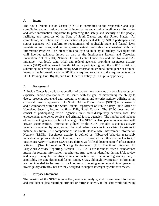#### **A. Intent**

The South Dakota Fusion Center (SDFC) is committed to the responsible and legal compilation and utilization of criminal investigative and criminal intelligence information and other information important to protecting the safety and security of the people, facilities, and resources of the State of South Dakota and the United States. All compilation, utilization, and dissemination of personal data by SDFC participants and source agencies will conform to requirements of applicable state and federal laws, regulations and rules, and to the greatest extent practicable be consistent with Fair Information Practices. The intent of this policy is to abide by all privacy, civil rights and civil liberties guidance issued as part of the Intelligence Reform and Terrorism Prevention Act of 2004, National Fusion Center Guidelines and the National SAR Initiative. All local, state, tribal and federal agencies providing suspicious activity reports (SAR) with a nexus to South Dakota or participating with the SDFC by virtue of submitting, receiving or disseminating SAR information, criminal intelligence or criminal investigative information via the SDFC are required to adhere to the requirements of the SDFC Privacy, Civil Rights, and Civil Liberties Policy ("SDFC privacy policy").

#### **B. Background**

A Fusion Center is a collaborative effort of two or more agencies that provide resources, expertise, and/or information to the Center with the goal of maximizing the ability to detect, prevent, apprehend and respond to criminal and terrorist activity utilizing an all crimes/all hazards approach. The South Dakota Fusion Center (SDFC) is inclusive of and a component within the South Dakota Department of Public Safety, State Office of Homeland Security, located in Sioux Falls, South Dakota. The SDFC does and will consist of participating federal agencies, state multi-disciplinary partners, local law enforcement, emergency service, and criminal justice agencies. The number and makeup of participant agencies is subject to change. The SDFC is also open to collaboration with private sector entities. Information utilized by the SDFC includes suspicious activity reports documented by local, state, tribal and federal agencies in a variety of systems to include any future SAR component of the South Dakota Law Enforcement Information Network (LEIN). Suspicious activity is defined as: "Observed behavior reasonably indicative of pre-operational planning related to terrorism or other criminal activity." Suspicious Activity Reports (SARs) are defined as "official documentation" of suspicious activity. (See Information Sharing Environment (ISE) Functional Standard for Suspicious Activity Reporting, Version 1.5). SARs are meant to offer a standardized means for feeding information repositories. Any patterns identified during SAR review and analysis may be investigated in coordination with the reporting agency and, if applicable, the state-designated fusion center. SARs, although investigatory information, are not intended to be used to track or record ongoing enforcement, intelligence, or investigatory activities, nor are they designed to support interagency calls for service.

#### **C. Purpose Statement**

The mission of the SDFC is to collect, evaluate, analyze, and disseminate information and intelligence data regarding criminal or terrorist activity in the state while following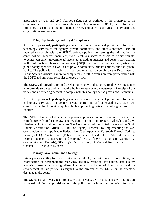appropriate privacy and civil liberties safeguards as outlined in the principles of the Organization for Economic Co-operation and Development's (OECD) Fair Information Principles to ensure that the information privacy and other legal rights of individuals and organizations are protected.

### **D. Policy Applicability and Legal Compliance**

All SDFC personnel, participating agency personnel, personnel providing information technology services to the agency, private contractors, and other authorized users are required to comply with the SDFC's privacy policy concerning the information the center collects, receives, maintains, stores, archives, accesses, discloses, or disseminates to center personnel, governmental agencies (including agencies and centers participating in the Information Sharing Environment [ISE]), and participating criminal justice and public safety agencies, as well as to private contractors, private entities, and the general public. The policy is available to all persons required to comply on the Department of Public Safety's website. Failure to comply may result in exclusion from participation with the SDFC and any other remedies allowed by law.

The SDFC will provide a printed or electronic copy of this policy to all SDFC personnel who provide services and will require both a written acknowledgement of receipt of this policy and a written agreement to comply with this policy and the provisions it contains.

All SDFC personnel, participating agency personnel, personnel providing information technology services to the center, private contractors, and other authorized users will comply with the following applicable law protecting privacy, civil rights, and civil liberties.

The SDFC has adopted internal operating policies and/or procedures that are in compliance with applicable laws and regulations protecting privacy, civil rights, and civil liberties including but not limited to, The Constitution of the United States and the South Dakota Constitution Article VI (Bill of Rights), Federal law implementing the U.S. Constitution, other applicable Federal law (See Appendix 2), South Dakota Codified Laws (SDCL) Chapter 1-27 (Public Records and Files), SDCL §1-27-1.5 (Certain records not open to inspection and copying), SDCL §49-31-121 et seq. (Confidential Communication Records), SDCL §58-2-40 (Privacy of Medical Records), and SDCL Chapter 15-15A (Court Records).

#### **E. Privacy Governance and Oversight**

Primary responsibility for the operation of the SDFC, its justice systems, operations, and coordination of personnel; the receiving, seeking, retention, evaluation, data quality, analysis, destruction, sharing, dissemination, or disclosure of information; and the enforcement of this policy is assigned to the director of the SDFC or the director's designee in the center.

The SDFC has a privacy team to ensure that privacy, civil rights, and civil liberties are protected within the provisions of this policy and within the center's information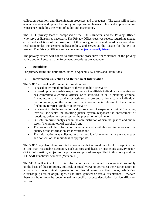collection, retention, and dissemination processes and procedures. The team will at least annually review and update the policy in response to changes in law and implementation experience, including the result of audits and inspections.

The SDFC privacy team is comprised of the SDFC Director, and the Privacy Officer, who serve as liaisons as necessary. The Privacy Officer receives reports regarding alleged errors and violations of the provisions of this policy, receives and coordinates complaint resolution under the center's redress policy, and serves as the liaison for the ISE as needed. The Privacy Officer can be contacted at jenna.howell@state.sd.us.

The privacy officer will adhere to enforcement procedures for violations of the privacy policy and will ensure that enforcement procedures are adequate.

#### **F. Definitions**

For primary terms and definitions, refer to Appendix A, Terms and Definitions.

#### **G. Information Collection and Retention of Information**

The SDFC will seek and/or retain information that:

- Is based on criminal predicate or threat to public safety; or
- Is based upon reasonable suspicion that an identifiable individual or organization has committed a criminal offense or is involved in or is planning criminal (including terrorist) conduct or activity that presents a threat to any individual, the community, or the nation and the information is relevant to the criminal (including terrorist) conduct or activity; or
- Is relevant to the investigation and prosecution of suspected criminal (including terrorist) incidents; the resulting justice system response; the enforcement of sanctions, orders, or sentences; or the prevention of crime; or
- Is useful in crime analysis or in the administration of criminal justice and public safety (including topical searches); and
- The source of the information is reliable and verifiable or limitations on the quality of the information are identified; and
- The information was collected in a fair and lawful manner, with the knowledge and consent of the individual, if appropriate.

The SDFC may also retain protected information that is based on a level of suspicion that is less than reasonable suspicion, such as tips and leads or suspicious activity report (SAR) information, subject to the policies and procedures specified in this policy and the ISE-SAR Functional Standard (Version 1.5).

The SDFC will not seek or retain information about individuals or organizations solely on the basis of their religious, political, or social views or activities; their participation in a particular non-criminal organization or lawful event; or their races, ethnicities, citizenship, places of origin, ages, disabilities, genders or sexual orientations. However, these attributes may be documented in specific suspect description for identification purposes.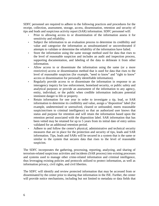SDFC personnel are required to adhere to the following practices and procedures for the receipt, collection, assessment, storage, access, dissemination, retention and security of tips and leads and suspicious activity report (SAR) information. SDFC personnel will:

- Prior to allowing access to or dissemination of the information assess it for sensitivity and reliability.
- Subject the information to an evaluation process to determine its credibility and value and categorize the information as unsubstantiated or uncorroborated if attempts to validate or determine the reliability of the information have failed.
- Store the information using the same storage method used for data that rises to the level of reasonable suspicion and includes an audit and inspection process, supporting documentation, and labeling of the data to delineate it from other information.
- Allow access to or disseminate the information using the same (or a more restrictive) access or dissemination method that is used for data that rises to the level of reasonable suspicion (for example, "need to know" and "right to know" access or dissemination for personally identifiable information).
- Regularly provide access to or disseminate the information in response to an interagency inquiry for law enforcement, homeland security, or public safety and analytical purposes or provide an assessment of the information to any agency, entity, individual, or the public when credible information indicates potential imminent danger to life or property.
- Retain information for one year in order to investigate a tip, lead, or SAR information to determine its credibility and value, assign a "disposition" label (for example, undetermined or unresolved, cleared or unfounded, meets reasonable suspicion/risen to criminal intelligence) so that an authorized user knows that status and purpose for retention and will retain the information based upon the retention period associated with the disposition label. SAR information that has been vetted may be retained for up to 5 years from its initial date of entry unless validated for an additional retention period.
- Adhere to and follow the center's physical, administrative and technical security measures that are in place for the protection and security of tips, leads and SAR information. Tips, leads and SARs will be secured in a system that is the same or similar to the system that secures data that rises to the level of reasonable suspicion.

The SDFC incorporates the gathering, processing, reporting, analyzing, and sharing of terrorism-related suspicious activities and incidents (SAR process) into existing processes and systems used to manage other crime-related information and criminal intelligence, thus leveraging existing policies and protocols utilized to protect information, as well as information privacy, civil rights, and civil liberties.

The SDFC will identify and review protected information that may be accessed from or disseminated by the center prior to sharing that information in the ISE. Further, the center will provide notice mechanisms, including but not limited to metadata or data fields that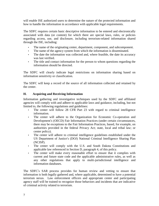will enable ISE authorized users to determine the nature of the protected information and how to handle the information in accordance with applicable legal requirements.

The SDFC requires certain basic descriptive information to be entered and electronically associated with data (or content) for which there are special laws, rules, or policies regarding access, use, and disclosure, including terrorism-related information shared through the ISE, including:

- The name of the originating center, department, component, and subcomponent.
- The name of the agency system from which the information is disseminated.
- The date the information was collected and, where feasible, the date its accuracy was last verified.
- The title and contact information for the person to whom questions regarding the information should be directed.

The SDFC will clearly indicate legal restrictions on information sharing based on information sensitivity or classification.

The SDFC will keep a record of the source of all information collected and retained by the center.

#### **H. Acquiring and Receiving Information**

Information gathering and investigative techniques used by the SDFC and affiliated agencies will comply with and adhere to applicable laws and guidance, including, but not limited to, the following regulations and guidelines:

- The center will follow 28 CFR Part 23 with regard to criminal intelligence information.
- The center will adhere to the Organization for Economic Co-operation and Development's (OECD) Fair Information Practices (under certain circumstances, there may be exceptions to the Fair Information Practices, based, for example, on authorities provided in the federal Privacy Act; state, local and tribal law; or center policy).
- The center will adhere to criminal intelligence guidelines established under the US Department of Justice's (DOJ) National Criminal Intelligence Sharing Plan (NCISP).
- The center will comply with the U.S. and South Dakota Constitutions and applicable law referenced in Section D, paragraph 4, of this policy.
- The center will make every reasonable effort to ensure that it complies with current and future state code and the applicable administrative rules, as well as any other regulations that apply to multi-jurisdictional intelligence and information databases.

The SDFC's SAR process provides for human review and vetting to ensure that information is both legally gathered and, where applicable, determined to have a potential terrorism nexus. Law enforcement officers and appropriate center and participating agency staff will be trained to recognize those behaviors and incidents that are indicative of criminal activity related to terrorism.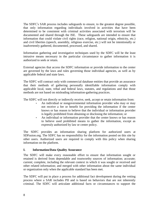The SDFC's SAR process includes safeguards to ensure, to the greatest degree possible, that only information regarding individuals involved in activities that have been determined to be consistent with criminal activities associated with terrorism will be documented and shared through the ISE. These safeguards are intended to ensure that information that could violate civil rights (race, religion, national origin, ethnicity, etc.) and civil liberties (speech, assembly, religious exercise, etc.) will not be intentionally or inadvertently gathered, documented, processed, and shared.

Information gathering and investigative techniques used by the SDFC will be the least intrusive means necessary in the particular circumstance to gather information it is authorized to seek or retain.

External agencies that access the SDFC information or provide information to the center are governed by the laws and rules governing those individual agencies, as well as by applicable federal and state laws.

The SDFC will contract only with commercial database entities that provide an assurance that their methods of gathering personally identifiable information comply with applicable local, state, tribal and federal laws, statutes, and regulations and that those methods are not based on misleading information-gathering practices.

The SDFC will not directly or indirectly receive, seek, accept or retain information from:

- An individual or nongovernmental information provider who may or may not receive a fee or benefit for providing the information if the center knows or has reason to believe that the individual or information provider is legally prohibited from obtaining or disclosing the information; or
- An individual or information provider that the center knows or has reason to believe used prohibited means to gather the information, except as expressly authorized by law or center policy.

The SDFC provides an information sharing platform for authorized users at SDFusion.org. The SDFC has no responsibility for the information posted on this site by other users. Authorized users are required to comply with this policy when sharing information on the platform.

#### **I. Information/Data Quality Assurance**

The SDFC will make every reasonable effort to ensure that information sought or retained is derived from dependable and trustworthy sources of information; accurate; current; complete, including the relevant context in which it was sought or received and other related information; and merged with other information about the same individual or organization only when the applicable standard has been met.

The SDFC will put in place a process for additional fact development during the vetting process where a SAR includes PII and is based on behaviors that are not inherently criminal. The SDFC will articulate additional facts or circumstances to support the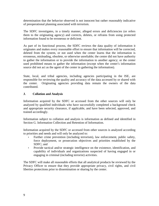determination that the behavior observed is not innocent but rather reasonably indicative of preoperational planning associated with terrorism.

The SDFC investigates, in a timely manner, alleged errors and deficiencies (or refers them to the originating agency) and corrects, deletes, or refrains from using protected information found to be erroneous or deficient.

As part of its functional process, the SDFC reviews the data quality of information it originates and makes every reasonable effort to ensure that information will be corrected, deleted from the system, or not used when the center learns that the information is erroneous, misleading, obsolete, or otherwise unreliable; the center did not have authority to gather the information or to provide the information to another agency; or the center used prohibited means to gather the information (except when the center's information source did not act as the agent of the center in gathering the information).

State, local, and tribal agencies, including agencies participating in the ISE, are responsible for reviewing the quality and accuracy of the data accessed by or shared with the center. Originating agencies providing data remain the owners of the data contributed.

#### **J. Collation and Analysis**

Information acquired by the SDFC or accessed from the other sources will only be analyzed by qualified individuals who have successfully completed a background check and appropriate security clearance, if applicable, and have been selected, approved, and trained accordingly.

Information subject to collation and analysis is information as defined and identified in Section G. Information Collection and Retention of Information.

Information acquired by the SDFC or accessed from other sources is analyzed according to priorities and needs and will only be analyzed to:

- Further crime prevention (including terrorism), law enforcement, public safety, force deployment, or prosecution objectives and priorities established by the SDFC; and
- Provide tactical and/or strategic intelligence on the existence, identification, and capability of individuals and organizations suspected of having engaged in or engaging in criminal (including terrorist) activities.

The SDFC will make all reasonable efforts that all analytical products be reviewed by the Privacy Officer to ensure that they provide appropriate privacy, civil rights, and civil liberties protections prior to dissemination or sharing by the center.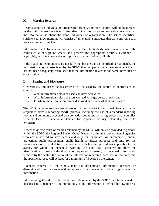#### **K. Merging Records**

Records about an individual or organization from two or more sources will not be merged by the SDFC unless there is sufficient identifying information to reasonably conclude that the information is about the same individual or organization. The set of identifiers sufficient to allow merging will consist of all available attributes that can contribute to a higher accuracy of match.

Information will be merged only by qualified individuals who have successfully completed a background check and possess the appropriate security clearance, if applicable, and have been selected, approved, and trained accordingly.

If the matching requirements are not fully met but there is an identified partial match, the information may be associated by the SDFC if accompanied by a clear statement that it has not been adequately established that the information relates to the same individual or organization.

#### **L. Sharing and Disclosure**

Credentialed, role-based access criteria will be used by the center, as appropriate, to control:

- What information a class of users can have access to;
- What information a class of users can add, change, delete or print and;
- To whom the information can be disclosed and under what circumstances.

The SDFC adheres to the current version of the ISE-SAR Functional Standard for its suspicious activity reporting (SAR) process, including the use of a standard reporting format and commonly accepted data collection codes and a sharing process that complies with the ISE-SAR Functional Standard for suspicious activity potentially related to terrorism.

Access to or disclosure of records retained by the SDFC will only be provided to persons within the SDFC, the Regional Fusion Center Network or in other governmental agencies who are authorized to have access and only for legitimate law enforcement, public protection, public prosecution, public health or justice purposes and only for the performance of official duties in accordance with law and procedures applicable to the agency for whom the person is working. An audit trail sufficient to allow the identification of each individual who requested, accessed, or received information retained by the center; the nature of the information requested, accessed, or received; and the specific purpose will be kept for a minimum of 5 years by the center.

Agencies external to the SDFC may not disseminate information accessed or disseminated from the center without approval from the center or other originator of the information.

Information gathered or collected and records retained by the SDFC may be accessed or disclosed to a member of the public only if the information is defined by law to be a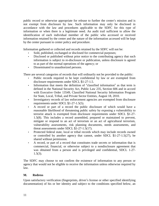public record or otherwise appropriate for release to further the center's mission and is not exempt from disclosure by law. Such information may only be disclosed in accordance with the law and procedures applicable to the SDFC for this type of information or when there is a legitimate need. An audit trail sufficient to allow the identification of each individual member of the public who accessed or received information retained by the center and the nature of the information accessed will be kept by the center pursuant to center policy and procedure.

Information gathered or collected and records retained by the SDFC will not be:

- Sold, published, exchanged or disclosed for commercial purposes;
- Disclosed or published without prior notice to the contributing agency that such information is subject to re-disclosure or publication, unless disclosure is agreed to as part of the normal operations of the agency; or
- Disseminated to unauthorized persons.

There are several categories of records that will ordinarily not be provided to the public:

- Public records required to be kept confidential by law or are exempted from disclosure requirements under SDCL §1-27-1.5.
- Information that meets the definition of "classified information" as that term is defined in the National Security Act, Public Law 235, Section 606 and in accord with Executive Order 13549, Classified National Security Information Program for State, Local, Tribal, and Private Sector Entities, August 18, 2010.
- Investigatory records of law enforcement agencies are exempted from disclosure requirements under SDCL §1-27-1.5(5).
- A record or part of a record the public disclosure of which would have a reasonable likelihood of threatening public safety by exposing a vulnerability to terrorist attack is exempted from disclosure requirements under SDCL §1-27- 1.5(8). This includes a record assembled, prepared or maintained to prevent, mitigate or respond to an act of terrorism or an act of agricultural terrorism, vulnerability assessments, risk planning documents, needs assessments, and threat assessments under SDCL §1-27-1.5(17).
- Protected federal state, local or tribal records which may include records owned or controlled by another agency that cannot, under SDCL §1-27-1.5(27), be shared without permission.
- A record, or part of a record that constitutes trade secrets or information that is commercial, financial, or otherwise subject to a nondisclosure agreement that was obtained from a person and is privileged and confidential, SDCL 1-27-  $1.5(3)$ .

The SDFC may choose to not confirm the existence of information to any person or agency that would not be eligible to receive the information unless otherwise required by law.

#### **M. Redress**

Upon satisfactory verification (fingerprints, driver's license or other specified identifying documentation) of his or her identity and subject to the conditions specified below, an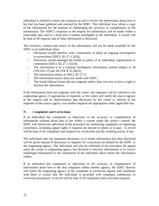individual is entitled to know the existence of and to review the information about him or her that has been gathered and retained by the SDFC. The individual may obtain a copy of the information for the purpose of challenging the accuracy or completeness of the information. The SDFC's response to the request for information will be made within a reasonable time and in a form that is readily intelligible to the individual. A record will be kept of all requests and of what information is disclosed.

The existence, content and source of the information will not be made available by the SDFC to an individual when:

- Disclosure would interfere with, compromise or delay an ongoing investigation or prosecution  $[SDCL \$  $1-27-1.5(5)]$ ;
- Disclosure would endanger the health or safety of an individual, organization or community [SDCL §1-27-1.5(23)];
- The information is in a criminal intelligence information system subject to 28 CFR Part 23 [see 28 CFR § 23.20(e)];
- The information relates to SDCL §1-27-3;
- The information source does not reside with SDFC.
- The South Dakota Fusion did not originate and/or does not own or have a right to disclose the information.

If the information does not originate with the center, the requestor will be referred to the originating agency, if appropriate or required, or the center will notify the source agency of the request and its determination that disclosure by the center or referral of the requestor to the source agency was neither required nor appropriate under applicable law.

#### **N. Complaints and Corrections**

If an individual has complaints or objections to the accuracy or completeness of information retained about him or her within a system under the center's control, the SDFC will inform the individual of the procedure for submitting complaints or requesting corrections, including appeal rights if requests are denied in whole or in part. A record will be kept of all complaints and requests for corrections and the resulting action, if any.

The individual who has requested disclosure or to whom information has been disclosed will be given reasons if disclosure or requests for corrections are denied by the SDFC or the originating agency. The individual will also be informed of the procedure for appeal when the center or originating agency has declined to disclose information or to correct challenged information to the satisfaction of the individual about whom the information relates.

If an individual has complaints or objections to the accuracy or completeness of information about him or her that originates within another agency, the SDFC director will notify the originating agency of the complaint or correction request and coordinate with them to ensure that the individual is provided with complaint submission or correction procedures. A record will be kept of all complaints and correction requests.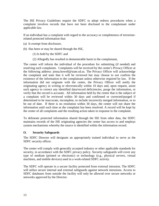The ISE Privacy Guidelines require the SDFC to adopt redress procedures when a complaint involves records that have not been disclosed to the complainant under applicable law.

If an individual has a complaint with regard to the accuracy or completeness of terrorismrelated protected information that:

- (a) Is exempt from disclosure,
- (b) Has been or may be shared through the ISE,
	- (1) Is held by the SDFC and
	- (2) Allegedly has resulted in demonstrable harm to the complainant,

The center will inform the individual of the procedure for submitting (if needed) and resolving such complaints. Complaints will be received by the center's Privacy Officer at the following address: jenna.howell@state.sd.us. The Privacy Officer will acknowledge the complaint and state that it will be reviewed but may choose to not confirm the existence of the information to the complainant unless otherwise required by law. If the information did not originate with the center, the Privacy Officer will notify the originating agency in writing or electronically within 10 days and, upon request, assist such agency to correct any identified data/record deficiencies, purge the information, or verify that the record is accurate. All information held by the center that is the subject of a complaint will be reviewed within 30 days and confirmed or corrected/purged if determined to be inaccurate, incomplete, to include incorrectly merged information, or to be out of date. If there is no resolution within 30 days, the center will not share the information until such time as the complaint has been resolved. A record will be kept by the center of all complaints and the resulting action taken in response to the complaint.

To delineate protected information shared through the ISE from other data, the SDFC maintains records of the ISE originating agencies the center has access to and employs system mechanisms whereby the source is identified within the information record.

#### **O. Security Safeguards**

The SDFC Director will designate an appropriately trained individual to serve as the SDFC security officer.

The center will comply with generally accepted industry or other applicable standards for security, in accordance with the SDFC privacy policy. Security safeguards will cover any type of medium (printed or electronic) or technology (e.g., physical servers, virtual machines, and mobile devices) used in a work-related SDFC activity.

The SDFC will operate in a secure facility protected from external intrusion. The SDFC will utilize secure internal and external safeguards against network intrusions. Access to SDFC databases from outside the facility will only be allowed over secure networks or networks approved by the Director.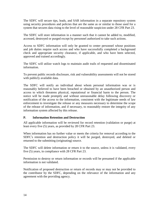The SDFC will secure tips, leads, and SAR information in a separate repository system using security procedures and policies that are the same as or similar to those used for a system that secures data rising to the level of reasonable suspicion under 28 CFR Part 23.

The SDFC will store information in a manner such that it cannot be added to, modified, accessed, destroyed or purged except by personnel authorized to take such actions.

Access to SDFC information will only be granted to center personnel whose positions and job duties require such access and who have successfully completed a background check and appropriate security clearance, if applicable, and who have been selected, approved and trained accordingly.

The SDFC will utilize watch logs to maintain audit trails of requested and disseminated information.

To prevent public records disclosure, risk and vulnerability assessments will not be stored with publicly available data.

The SDFC will notify an individual about whom personal information was or is reasonably believed to have been breached or obtained by an unauthorized person and access to which threatens physical, reputational or financial harm to the person. The notice will be made promptly and without unreasonable delay following discovery or notification of the access to the information, consistent with the legitimate needs of law enforcement to investigate the release or any measures necessary to determine the scope of the release of information, and if necessary, to reasonably restore the integrity of any information system affected by this release.

#### **P. Information Retention and Destruction**

All applicable information will be reviewed for record retention (validation or purge) at least every five (5) years, as provided by 28 CFR Part 23.

When information has no further value or meets the criteria for removal according to the SDFC's retention and destruction policy it will be purged, destroyed, and deleted or returned to the submitting (originating) source.

The SDFC will delete information or return it to the source, unless it is validated, every five (5) years, in compliance with 28 CFR Part 23.

Permission to destroy or return information or records will be presumed if the applicable information is not validated.

Notification of proposed destruction or return of records may or may not be provided to the contributor by the SDFC, depending on the relevance of the information and any agreement with the providing agency.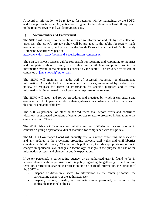A record of information to be reviewed for retention will be maintained by the SDFC, and for appropriate system(s), notice will be given to the submitter at least 30 days prior to the required review and validation/purge date.

#### **Q. Accountability and Enforcement**

The SDFC will be open to the public in regard to information and intelligence collection practices. The SDFC's privacy policy will be provided to the public for review, made available upon request, and posted on the South Dakota Department of Public Safety Homeland Security web page at

[http://www.dps.sd.gov/homeland\\_security/fusion\\_center.aspx](http://www.dps.sd.gov/homeland_security/fusion_center.aspx)

The SDFC's Privacy Officer will be responsible for receiving and responding to inquiries and complaints about privacy, civil rights, and civil liberties protections in the information system(s) maintained or accessed by the center. The Privacy Officer can be contacted at [jenna.howell@state.sd.us.](mailto:jenna.howell@state.sd.us)

The SDFC will maintain an audit trail of accessed, requested, or disseminated information. An audit trail will be retained for 5 years, as required by center SDFC policy, of requests for access to information for specific purposes and of what information is disseminated to each person in response to the request.

The SDFC will adopt and follow procedures and practices by which it can ensure and evaluate that SDFC personnel utilize their systems in accordance with the provisions of this policy and applicable law.

The SDFC's personnel or other authorized users shall report errors and confirmed violations or suspected violations of center policies related to protected information to the center's Privacy Officer.

The SDFC Privacy Officer receives bulletins and has SDFusion.org access in order to conduct on-going or periodic audits of materials for compliance with this policy.

The SDFC's Governance Board will annually receive a report concerning the review of and any updates to the provisions protecting privacy, civil rights and civil liberties contained within this policy. Changes to this policy may include appropriate responses to changes in applicable law, changes in technology, changes in the purpose and use of the information systems and changes in public expectations.

If center personnel, a participating agency, or an authorized user is found to be in noncompliance with the provisions of this policy regarding the gathering, collection, use, retention, destruction, sharing, classification, or disclosure of information, the Director of the SDFC will:

- Suspend or discontinue access to information by the center personnel, the participating agency, or the authorized user.
- Suspend, demote, transfer, or terminate center personnel, as permitted by applicable personnel policies.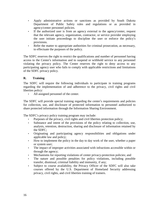- Apply administrative actions or sanctions as provided by South Dakota Department of Public Safety rules and regulations or as provided in agency/center personnel policies.
- If the authorized user is from an agency external to the agency/center, request that the relevant agency, organization, contractor, or service provider employing the user initiate proceedings to discipline the user or enforce the policy's provisions.
- Refer the matter to appropriate authorities for criminal prosecution, as necessary, to effectuate the purposes of the policy.

The SDFC reserves the right to restrict the qualifications and number of personnel having access to the Center's information and to suspend or withhold service to any personnel violating the privacy policy. The Center reserves the right to deny access to any participating agency user who fails to comply with applicable restrictions and limitations of the SDFC privacy policy.

#### **R. Training**

The SDFC will require the following individuals to participate in training programs regarding the implementation of and adherence to the privacy, civil rights and civil liberties policy:

• All assigned personnel of the center.

The SDFC will provide special training regarding the center's requirements and policies for collection, use, and disclosure of protected information to personnel authorized to share protected information through the Information Sharing Environment.

The SDFC's privacy policy training program may include:

- Purposes of the privacy, civil rights and civil liberties protection policy;
- Substance and intent of the provisions of the policy relating to collection, use, analysis, retention, destruction, sharing and disclosure of information retained by the SDFC;
- Originating and participating agency responsibilities and obligations under applicable law and policy;
- How to implement the policy in the day to day work of the user, whether a paper or system user;
- The impact of improper activities associated with infractions accessible within or through the agency;
- Mechanisms for reporting violations of center privacy-protection policies; and
- The nature and possible penalties for policy violations, including possible transfer, dismissal, criminal liability and immunity, if any;
- Subject to course availability, the Privacy Officer of the SDFC will also take courses offered by the U.S. Department of Homeland Security addressing privacy, civil rights, and civil liberties training of trainers.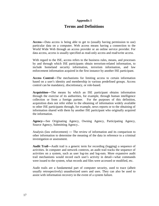## **Appendix I**

## **Terms and Definitions**

**Access**—Data access is being able to get to (usually having permission to use) particular data on a computer. Web access means having a connection to the World Wide Web through an access provider or an online service provider. For data access, access is usually specified as read-only access and read/write access.

With regard to the ISE, access refers to the business rules, means, and processes by and through which ISE participants obtain terrorism-related information, to include homeland security information, terrorism information, and law enforcement information acquired in the first instance by another ISE participant.

**Access Control**—The mechanisms for limiting access to certain information based on a user's identity and membership in various predefined groups. Access control can be mandatory, discretionary, or role-based.

**Acquisition**—The means by which an ISE participant obtains information through the exercise of its authorities, for example, through human intelligence collection or from a foreign partner. For the purposes of this definition, acquisition does not refer either to the obtaining of information widely available to other ISE participants through, for example, news reports or to the obtaining of information shared with them by another ISE participant who originally acquired the information.

**Agency**—See Originating Agency, Owning Agency, Participating Agency, Source Agency, Submitting Agency..

Analysis (law enforcement) — The review of information and its comparison to other information to determine the meaning of the data in reference to a criminal investigation or assessment.

**Audit Trail**—Audit trail is a generic term for recording (logging) a sequence of activities. In computer and network contexts, an audit trail tracks the sequence of activities on a system, such as user log-ins and log-outs. More expansive audit trail mechanisms would record each user's activity in detail—what commands were issued to the system, what records and files were accessed or modified, etc.

Audit trails are a fundamental part of computer security, used to trace (albeit usually retrospectively) unauthorized users and uses. They can also be used to assist with information recovery in the event of a system failure.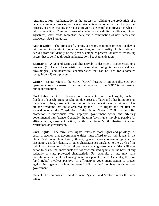**Authentication**—Authentication is the process of validating the credentials of a person, computer process, or device. Authentication requires that the person, process, or device making the request provide a credential that proves it is what or who it says it is. Common forms of credentials are digital certificates, digital signatures, smart cards, biometrics data, and a combination of user names and passwords. See Biometrics.

**Authorization**—The process of granting a person, computer process, or device with access to certain information, services, or functionality. Authorization is derived from the identity of the person, computer process, or device requesting access that is verified through authentication. See Authentication.

**Biometrics**—A general term used alternatively to describe a characteristic or a process. (1) As a characteristic: a measurable biologicial (anatomical and physiological) and behavioral characteristics that can be used for automated recognition. (2) As a process:

**Center** – Center refers to the SDFC (SDFC), located in Sioux Falls, SD. For operational security reasons, the physical location of the SDFC is not deemed public information.

**Civil Liberties**—Civil liberties are fundamental individual rights, such as freedom of speech, press, or religion; due process of law; and other limitations on the power of the government to restrain or dictate the actions of individuals. They are the freedoms that are guaranteed by the Bill of Rights and the first ten Amendments to the Constitution of the United States. Civil liberties offer protection to individuals from improper government action and arbitrary governmental interference. Generally, the term "civil rights" involves positive (or affirmative) government action, while the term "civil liberties" involves restrictions on government.

**Civil Rights**— The term "civil rights" refers to those rights and privileges of equal protection that government entities must afford to all individuals in the United States regardless of race, ethnicity, gender, national origin, religion, sexual orientation, gender identity, or other characteristics unrelated to the worth of the individual. Protection of civil rights means that government entities will take action to ensure that individuals are not discriminated against on the basis of any federally or state protected characteristic. For example, a state may have constitutional or statutory language regarding parental status. Generally, the term "civil rights" involves positive (or affirmative) government action to protect against infringement, while the term "civil liberties" involves restrictions on government.

**Collect**—For purposes of this document, "gather" and "collect" mean the same thing.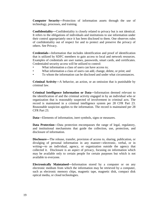**Computer Security**—Protection of information assets through the use of technology, processes, and training.

**Confidentiality**—Confidentiality is closely related to privacy but is not identical. It refers to the obligations of individuals and institutions to use information under their control appropriately once it has been disclosed to them. One observes rules of confidentiality out of respect for and to protect and preserve the privacy of others. See Privacy.

**Credentials**—Information that includes identification and proof of identification that is utilized by SDFC members to gain access to local and network resources. Examples of credentials are user names, passwords, smart cards, and certificates. Credentialed security access will be utilized to control:

- What information a class of users can have access to:
- What information a class of users can add, change, delete, or print; and
- To whom the information can be disclosed and under what circumstances.

**Criminal Activity**—A behavior, an action, or an omission that is punishable by criminal law.

**Criminal Intelligence Information or Data**—Information deemed relevant to the identification of and the criminal activity engaged in by an individual who or organization that is reasonably suspected of involvement in criminal acts. The record is maintained in a criminal intelligence system per 28 CFR Part 23. Reasonable suspicion applies to the information. The record is maintained per 28 CFR Part 23.

**Data**—Elements of information, inert symbols, signs or measures.

**Data Protection**—Data protection encompasses the range of legal, regulatory, and institutional mechanisms that guide the collection, use, protection, and disclosure of information.

**Disclosure**—The release, transfer, provision of access to, sharing, publication, or divulging of personal information in any manner—electronic, verbal, or in writing—to an individual, agency, or organization outside the agency that collected it. Disclosure is an aspect of privacy, focusing on information which may be available only to certain people for certain purposes but which is not available to everyone.

**Electronically Maintained**—Information stored by a computer or on any electronic medium from which the information may be retrieved by a computer, such as electronic memory chips, magnetic tape, magnetic disk, compact disk optical media, or cloud technologies.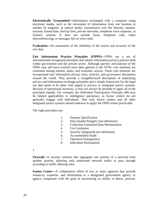**Electronically Transmitted**—Information exchanged with a computer using electronic media, such as the movement of information from one location to another by magnetic or optical media, transmission over the Internet, intranet, extranet, leased lines, dial-up lines, private networks, telephone voice response, or faxback systems. It does not include faxes, telephone calls, video teleconferencing, or messages left on voice mail.

**Evaluation**—An assessment of the reliability of the source and accuracy of the raw data.

**Fair Information Practice Principles (FIPPS)**—FIPPs are a set of internationally recognized principles that inform information privacy policies both within government and the private sector. Although specific articulations of the FIPPs vary and have evolved since their genesis in the 1970s, core elements are consistent among nations, states, and economic sectors. These core elements are incorporated into information privacy laws, policies, and governance documents around the world. They provide a straightforward description of underlying privacy and information exchange principles and a simple framework for the legal use that needs to be done with regard to privacy in integrated justice systems. Because of operational necessity, it may not always be possible to apply all of the principles equally. For example, the Individual Participation Principle (#8) may be limited applicability in intelligence operations, as fusion centers do not generally engage with individuals. That said, fusion centers and all other integrated justice systems should endeavor to apply the FIPPs where practicable.

The eight principles are:

- 1. Purpose Specification
- 2. Data Quality/Integrity (see definition)
- 3. Collection Limitation/Data Minimization
- 4. Use Limitation
- 5. Security Safeguards (see definition)
- 6. Accountability/Audit
- 7. Openness/Transparency
- 8. Individual Participation

1

**Firewall**—A security solution that segregates one portion of a network from another portion, allowing only authorized network traffic to pass through according to traffic-filtering rules.

Fusion Center—A collaborative effort of two or more agencies that provide resources, expertise, and information to a designated government agency or agency component with the goal of maximizing its ability to detect, prevent,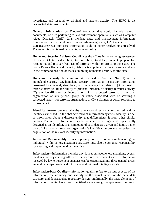investigate, and respond to criminal and terrorist activity. The SDFC is the designated state fusion center.

**General Information or Data**—Information that could include records, documents, or files pertaining to law enforcement operations, such as Computer Aided Dispatch (CAD) data, incident data, and management information. Information that is maintained in a records management, CAD system, etc., for statistical/retrieval purposes. Information could be either resolved or unresolved. The record is maintained per statute, rule, or policy.

**Homeland Security Advisor**- Coordinates the efforts in the ongoing assessment of South Dakota's vulnerability to, and ability to detect, prevent, prepare for, respond to, and recover from acts of terrorism within or affecting this state. The South Dakota Homeland Security Advisor is appointed by the Governor and acts in the command position on issues involving homeland security for the state.

**Homeland Security Information**—As defined in Section 892(f)(1) of the Homeland Security Act, homeland security information means any information possessed by a federal, state, local, or tribal agency that relates to (A) a threat of terrorist activity; (B) the ability to prevent, interdict, or disrupt terrorist activity; (C) the identification or investigation of a suspected terrorist or terrorist organization or any person, group, or entity associated with or assisting a suspected terrorist or terrorist organization; or (D) a planned or actual response to a terrorist act.

**Identification**—A process whereby a real-world entity is recognized and its identity established. In the abstract world of information systems, identity is a set of information about a discrete entity that differentiates it from other similar entities. The set of information may be as small as a single code, specifically designed as an identifier, or a compound of such data as a given and family name, date of birth, and address. An organization's identification process comprises the acquisition of the relevant identifying information.

**Individual Responsibility**—Since a privacy notice is not self-implementing, an individual within an organization's structure must also be assigned responsibility for enacting and implementing the notice.

**Information**—Information includes any data about people, organizations, events, incidents, or objects, regardless of the medium in which it exists. Information received by law enforcement agencies can be categorized into three general areas: general data, tips, leads, and SAR data, and criminal intelligence data.

**Information/Data Quality**—Information quality refers to various aspects of the information; the accuracy and validity of the actual values of the data, data structure, and database/data repository design. Traditionally, the basic elements of information quality have been identified as accuracy, completeness, currency,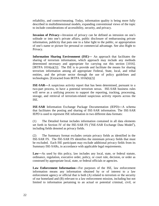reliability, and context/meaning. Today, information quality is being more fully described in multidimensional models, expanding conventional views of the topic to include considerations of accessibility, security, and privacy.

**Invasion of Privacy**—Invasion of privacy can be defined as intrusion on one's solitude or into one's private affairs, public disclosure of embarrassing private information, publicity that puts one in a false light to the public, or appropriation of one's name or picture for personal or commercial advantage. See also Right to Privacy.

**Information Sharing Environment (ISE)**— An approach that facilitates the sharing of terrorism information, which approach may include any methods determined necessary and appropriate for carrying out this section [1016]. [IRTPA  $1016(a)(2)$ ]. The ISE is to provide and facilitate the means for sharing terrorism information among all appropriate Federal, State, local, and tribal entities, and the private sector through the use of policy guidelines and technologies. [Extracted from IRTPA 1016(b)(2)]

**ISE-SAR**—A suspicious activity report that has been determined, pursuant to a two-part process, to have a potential terrorism nexus. ISE-SAR business rules will serve as a unifying process to support the reporting, tracking, processing, storage, and retrieval of terrorism-related suspicious activity reports across the ISE.

**ISE-SAR** Information Exchange Package Documentation (IEPD)—A schema that facilitates the posting and sharing of ISE-SAR information. The ISE-SAR IEPD is used to represent ISE information in two different data formats:

(1) The Detailed format includes information contained in all data elements set forth in Section IV of the ISE-SAR FS ("ISE-SAR Exchange Data Model"), including fields denoted as privacy fields.

(2) The Summary format excludes certain privacy fields as identified in the ISE-SAR FS. The ISE-SAR FS identifies the minimum privacy fields that must be excluded. Each ISE participant may exclude additional privacy fields from its Summary ISE-SARs, in accordance with applicable legal requirements.

**Law**—As used by this policy, law includes any local, state, or federal statute, ordinance, regulation, executive order, policy, or court rule, decision, or order as construed by appropriate local, state, or federal officials or agencies.

**Law Enforcement Information**—For purposes of the ISE, law enforcement information means any information obtained by or of interest to a law enforcement agency or official that is both (A) related to terrorism or the security of our homeland and (B) relevant to a law enforcement mission, including but not limited to information pertaining to an actual or potential criminal, civil, or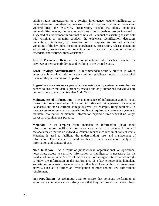administrative investigation or a foreign intelligence, counterintelligence, or counterterrorism investigation; assessment of or response to criminal threats and vulnerabilities; the existence, organization, capabilities, plans, intentions, vulnerabilities, means, methods, or activities of individuals or groups involved or suspected of involvement in criminal or unlawful conduct or assisting or associate with criminal or unlawful conduct; the existence, identification, detection, prevention, interdiction, or disruption of or response to criminal acts and violations of the law; identification, apprehension, prosecution, release, detention, adjudication, supervision, or rehabilitation or accused persons or criminal offenders; and victim/witness assistance.

**Lawful Permanent Resident**—A foreign national who has been granted the privilege of permanently living and working in the United States.

**Least Privilege Administration**—A recommended security practice in which every user is provided with only the minimum privileges needed to accomplish the tasks they are authorized to perform.

**Logs**—Logs are a necessary part of an adequate security system because they are needed to ensure that data is properly tracked and only authorized individuals are getting access to the data. See also Audit Trail.

**Maintenance of Information**—The maintenance of information applies to all forms of information storage. This would include electronic systems (for example, databases) and non-electronic storage systems (for example, filing cabinets). To meet access requirements, an organization is not required to create new systems to maintain information or maintain information beyond a time when it no longer serves an organization's purpose.

**Metadata**—In its simplest form, metadata is information (data) about information, more specifically information about a particular content. An item of metadata may describe an individual content item or a collection of content items. Metadata is used to facilitate the understanding, use, and management of information. The metadata required for this will vary based upon the type of information and context of use.

Need to Know— As a result of jurisdictional, organizational, or operational necessities, access to sensitive information or intelligence is necessary for the conduct of an individual's official duties as part of an organization that has a right to know the information in the performance of a law enforcement, homeland security, or counter-terrorism activity or other lawful and authorized government activity, such as to further an investigation or meet another law enforcement requirement.

**Non-repudiation**—A technique used to ensure that someone performing an action on a computer cannot falsely deny that they performed that action. Non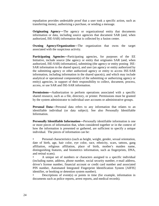repudiation provides undeniable proof that a user took a specific action, such as transferring money, authorizing a purchase, or sending a message.

**Originating Agency**—The agency or organizational entity that documents information or data, including source agencies that document SAR (and, when authorized, ISE-SAR) information that is collected by a fusion center.

**Owning Agency/Organization**—The organization that owns the target associated with the suspicious activity.

**Participating Agencies**—Participating agencies, for purposes of the EE Initiative, include source [the agency or entity that originates SAR (and, when authorized, ISE-SAR) information], submitting (the agency or entity posting ISE-SAR information to the shared space), and user (an agency or entity authorized by the submitting agency or other authorized agency or entity to access ISE-SAR information, including information in the shared space(s), and which may include analytical or operational component(s) of the submitting or authorizing agency or entity) agencies, in support of their responsibility to collect, document, process, access, or use SAR and ISE-SAR information.

**Permissions**—Authorization to perform operations associated with a specific shared resource, such as a file, directory, or printer. Permissions must be granted by the system administrator to individual user accounts or administrative groups.

**Personal Data**—Personal data refers to any information that relates to an identifiable individual (or data subject). See also Personally Identifiable Information.

**Personally Identifiable Information**—Personally identifiable information is one or more pieces of information that, when considered together or in the context of how the information is presented or gathered, are sufficient to specify a unique individual. The pieces of information can be:

• Personal characteristics (such as height, weight, gender, sexual orientation, date of birth, age, hair color, eye color, race, ethnicity, scars, tattoos, gang affiliation, religious affiliation, place of birth, mother's maiden name, distinguishing features, and biometrics information, such as fingerprints, DNA, and retinal scans).

• A unique set of numbers or characters assigned to a specific individual (including name, address, phone number, social security number, e-mail address, driver's license number, financial account or credit card number and associated PIN number, Automated Integrated Fingerprint Identification System [AIFIS] identifier, or booking or detention system number).

• Descriptions of event(s) or points in time (for example, information in documents such as police reports, arrest reports, and medical records).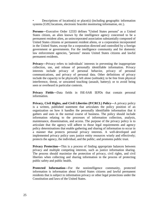• Descriptions of location(s) or place(s) (including geographic information systems [GIS] locations, electronic bracelet monitoring information, etc.).

**Persons**—Executive Order 12333 defines "United States persons" as a United States citizen, an alien known by the intelligence agency concerned to be a permanent resident alien, an unincorporated association substantially composed of United States citizens or permanent resident aliens, or a corporation incorporated in the United States, except for a corporation directed and controlled by a foreign government or governments. For the intelligence community and for domestic law enforcement agencies, "persons" means United States citizens and lawful permanent residents.

**Privacy**—Privacy refers to individuals' interests in preventing the inappropriate collection, use, and release of personally identifiable information. Privacy interests include privacy of personal behavior, privacy of personal communications, and privacy of personal data. Other definitions of privacy include the capacity to be physically left alone (solitude); to be free from physical interference, threat, or unwanted touching (assault, battery); or to avoid being seen or overheard in particular contexts.

**Privacy Fields**—Data fields in ISE-SAR IEPDs that contain personal information.

**Privacy, Civil Rights, and Civil Liberties (P/CRCL) Policy**—A privacy policy is a written, published statement that articulates the policy position of an organization on how it handles the personally identifiable information that it gathers and uses in the normal course of business. The policy should include information relating to the processes of information collection, analysis, maintenance, dissemination, and access. The purpose of the privacy policy is to articulate that the agency will adhere to those legal requirements and agency policy determinations that enable gathering and sharing of information to occur in a manner that protects personal privacy interests. A well-developed and implemented privacy policy uses justice entity resources wisely and effectively; protects the agency, the individual, and the public; and promotes public trust.

**Privacy Protection—This is a process of finding appropriate balances between** privacy and multiple competing interests, such as justice information sharing. The process should maximize the protection of privacy, civil rights, and civil liberties when collecting and sharing information in the process of protecting public safety and public health.

**Protected Information**—For the nonintelligence community, protected information is information about United States citizens and lawful permanent residents that is subject to information privacy or other legal protections under the Constitution and laws of the United States.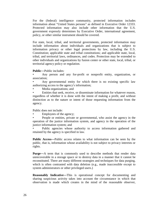For the (federal) intelligence community, protected information includes information about "United States persons" as defined in Executive Order 12333. Protected information may also include other information that the U.S. government expressly determines by Executive Order, international agreement, policy, or other similar instrument should be covered.

For state, local, tribal, and territorial governments, protected information may include information about individuals and organizations that is subject to information privacy or other legal protections by law, including the U.S. Constitution; applicable state and tribal constitutions; and applicable state, local, tribal, and territorial laws, ordinances, and codes. Protection may be extended to other individuals and organizations by fusion center or other state, local, tribal, or territorial agency policy or regulation.

#### **Public**—Public includes:

• Any person and any for-profit or nonprofit entity, organization, or association;

Any governmental entity for which there is no existing specific law authorizing access to the agency's information;

• Media organizations; and

• Entities that seek, receive, or disseminate information for whatever reason, regardless of whether it is done with the intent of making a profit, and without distinction as to the nature or intent of those requesting information from the agency.

Public does not include:

Employees of the agency;

• People or entities, private or governmental, who assist the agency in the operation of the justice information system, and agency in the operation of the justice information system; and

Public agencies whose authority to access information gathered and retained by the agency is specified in law.

**Public Access**—Public access relates to what information can be seen by the public, that is, information whose availability is not subject to privacy interests or rights.

**Purge**—A term that is commonly used to describe methods that render data unrecoverable in a storage space or to destroy data in a manner that it cannot be reconstituted. There are many different strategies and techniques for data purging, which is often contrasted with data deletion (e.g., made inaccessible except to system administrators or other privileged users.)

**Reasonably Indicative**—This is operational concept for documenting and sharing suspicious activity takes into account the circumstance in which that observation is made which creates in the mind of the reasonable observer,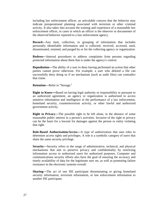including law enforcement officer, an articulable concern that the behavior may indicate preoperational planning associated with terrorism or other criminal activity. It also takes into account the training and experience of a reasonable law enforcement officer, in cases in which an officer is the observer or documenter of the observed behavior reported to a law enforcement agency.

**Record**—Any item, collection, or grouping of information that includes personally identifiable information and is collected, received, accessed, used, disseminated, retained, and purged by or for the collecting agency or organization.

**Redress**—Internal procedures to address complaints from persons regarding protected information about them that is under the agency's control.

**Repudiation**—The ability of a user to deny having performed an action that other parties cannot prove otherwise. For example, a user who deleted a file can successfully deny doing so if no mechanism (such as audit files) can contradict that claim.

**Retention**—Refer to "Storage."

**Right to Know—**Based on having legal authority or responsibility or pursuant to an authorized agreement, an agency or organization is authorized to access sensitive information and intelligence in the performance of a law enforcement, homeland security, counterterrorism activity, or other lawful and authorized government activity.

**Right to Privacy**—The possible right to be left alone, in the absence of some reasonable public interest in a person's activities. Invasion of the right to privacy can be the basis for a lawsuit for damages against the person or entity violating that right.

**Role-Based Authorization/Access**—A type of authorization that uses roles to determine access rights and privileges. A role is a symbolic category of users that share the same security privilege.

**Security**—Security refers to the range of administrative, technical, and physical mechanisms that aim to preserve privacy and confidentiality by restricting information access to authorized users for authorized purposes. Computer and communications security efforts also have the goal of ensuring the accuracy and timely availability of data for the legitimate user set, as well as promoting failure resistance in the electronic systems overall.

**Sharing**—The act of one ISE participant disseminating or giving homeland security information, terrorism information, or law enforcement information to another ISE participant.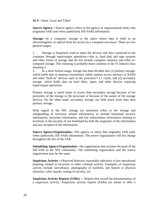**SLT**—State, Local and Tribal

**Source Agency**—Source agency refers to the agency or organizational entity that originates SAR (and when authorized, ISE-SAR) information.

**Storage**—In a computer, storage is the place where data is held in an electromagnetic or optical form for access by a computer processor. There are two general usages:

1. Storage is frequently used to mean the devices and data connected to the computer through input/output operations—that is, hard disk and tape systems and other forms of storage that do not include computer memory and other incomputer storage. This meaning is probably more common in the IT industry than meaning 2.

2. In a more formal usage, storage has been divided into (1) primary storage, which holds data in memory (sometimes called random access memory or RAM) and other "built-in" devices such as the processor's L1 cache, and (2) secondary storage, which holds data on hard disks, tapes, and other devices requiring input/output operations.

Primary storage is much faster to access than secondary storage because of the proximity of the storage to the processor or because of the nature of the storage devices. On the other hand, secondary storage can hold much more data than primary storage.

With regard to the ISE, storage (or retention) refers to the storage and safeguarding of terrorism related information, to include homeland security information, terrorism information, and law enforcement information relating to terrorism or the security of our homeland by both the originator of the information and any recipient of the information.

**Source Agency/Organization**—The agency or entity that originates SAR (and, when authorized, ISE-SAR) information. The source organization will not change throughout the life of the SAR.

**Submitting Agency/Organization**—the organization that actuates the push of the ISE-SAR to the NSI community. The submitting organization and the source organization may be the same.

**Suspicious Activity**—Observed behavior reasonably indicative of pre-operational planning related to terrorism or other criminal activity. Examples of suspicious activity include surveillance, photography of facilities, site breach or physical intrusion, cyber attacks, testing of security, etc.

**Suspicious Activity Reports (SARs)** — Reports that record the documentation of a suspicious activity. Suspicious activity reports (SARs) are meant to offer a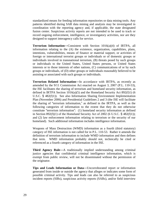standardized means for feeding information repositories or data mining tools. Any patterns identified during SAR data mining and analysis may be investigated in coordination with the reporting agency and, if applicable, the state designated fusion center. Suspicious activity reports are not intended to be used to track or record ongoing enforcement, intelligence, or investigatory activities, nor are they designed to support interagency calls for service.

**Terrorism Information**—Consistent with Section 1016(a)(4) of IRTPA, all information relating to the (A) the existence, organization, capabilities, plans, intentions, vulnerabilities, means of finance or material support, or activities of foreign or international terrorist groups or individuals or of domestic groups or individuals involved in transnational terrorism, (B) threats posed by such groups or individuals to the United States, United States persons, or United States interests or to those interests of other nations, (C) communications of or by such groups or individuals, of (D) other groups or individuals reasonably believed to be assisting or associated with such groups or individuals.

**Terrorism Related Information**—In accordance with IRTPA, as recently as amended by the 9/11 Commission Act enacted on August 3, 2007 (P.L. 110-53), the ISE facilitates the sharing of terrorism and homeland security information, as defined in IRTPA Section  $1016(a)(5)$  and the Homeland Security Act 892(f)1) (6 U.S.C. § 482(f)1)). See also Information Sharing Environment Implementation Plan (November 2006) and Presidential Guidelines 2 and 3 (the ISE will facilitate the sharing of "terrorism information," as defined in the IRTPA, as well as the following categories of information to the extent that they do not otherwise constitute "terrorism information": (1) homeland security information as defined in Section 892(f)(1) of the Homeland Security Act of 2002 (6 U.S.C.  $\S$  482(f)1)); and (2) law enforcement information relating to terrorism or the security of our homeland). Such additional information includes intelligence information.

Weapons of Mass Destruction (WMD) information as a fourth (third statutory) category of ISE information is not called for in P.L. 110-53. Rather it amends the definition of terrorism information to include WMD information and then defines that term. WMD information probably should not, technically be cited or referenced as a fourth category of information in the ISE.

**Third Agency Rule**—A traditionally implied understanding among criminal justice agencies that confidential criminal intelligence information, which is exempt from public review, will not be disseminated without the permission of the originator.

**Tips and Leads Information or Data**—Uncorroborated report or information generated from inside or outside the agency that alleges or indicates some form of possible criminal activity. Tips and leads can also be referred to as suspicious incident reports (SIRs), suspicious activity reports (SARs), and/or field interview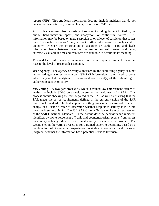reports (FIRs). Tips and leads information does not include incidents that do not have an offense attached, criminal history records, or CAD data.

A tip or lead can result from a variety of sources, including, but not limited to, the public, field interview reports, and anonymous or confidential sources. This information may be based on mere suspicion or on a level of suspicion that is less than "reasonable suspicion" and, without further information or analysis, it is unknown whether the information is accurate or useful. Tips and leads information hangs between being of no use to law enforcement and being extremely valuable if time and resources are available to determine its meaning.

Tips and leads information is maintained in a secure system similar to data that rises to the level of reasonable suspicion.

**User Agency**—The agency or entity authorized by the submitting agency or other authorized agency or entity to access ISE-SAR information in the shared space(s), which may include analytical or operational component(s) of the submitting or authorizing agency or entity.

**Vet/Vetting** – A two-part process by which a trained law enforcement officer or analyst, to include SDFC personnel, determine the usefulness of a SAR. This process entails checking the facts reported in the SAR as well as ensuring that the SAR meets the set of requirements defined in the current version of the SAR Functional Standard. The first step in the vetting process is for a trained officer or analyst at a Fusion Center to determine whether suspicious activity falls within the criteria set forth in Part B – ISE-SAR Criteria Guidance of the current version of the SAR Functional Standard. These criteria describe behaviors and incidents identified by law enforcement officials and counterterrorism experts from across the country as being indicative of criminal activity associated with terrorism. The second step in the vetting process is for a trained expert to determine, based on a combination of knowledge, experience, available information, and personal judgment whether the information has a potential nexus to terrorism.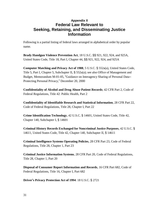# **Appendix II Federal Law Relevant to Seeking, Retaining, and Disseminating Justice Information**

Following is a partial listing of federal laws arranged in alphabetical order by popular name.

**Brady Handgun Violence Prevention Act**, 18 U.S.C. §§ 921, 922, 924, and 925A, United States Code, Title 18, Part I, Chapter 44, §§ 921, 922, 924, and 925A

**Computer Matching and Privacy Act of 1988**, 5 U.S.C. § 552a(a), United States Code, Title 5, Part I, Chapter 5, Subchapter II,  $\S$  552a(a); see also Office of Management and Budget, Memorandum M-01-05, "Guidance on Interagency Sharing of Personal Data– Protecting Personal Privacy," December 20, 2000

**Confidentiality of Alcohol and Drug Abuse Patient Records**; 42 CFR Part 2, Code of Federal Regulations, Title 42: Public Health, Part 2

**Confidentiality of Identifiable Research and Statistical Information**, 28 CFR Part 22, Code of Federal Regulations, Title 28, Chapter I, Part 22

**Crime Identification Technology**, 42 U.S.C. § 14601, United States Code, Title 42, Chapter 140, Subchapter I, § 14601

**Criminal History Records Exchanged for Noncriminal Justice Purposes**, 42 U.S.C. § 14611, United States Code, Title 42, Chapter 140, Subchapter II, § 14611

**Criminal Intelligence Systems Operating Policies**, 28 CFR Part 23, Code of Federal Regulations, Title 28, Chapter 1, Part 23

**Criminal Justice Information Systems**, 28 CFR Part 20, Code of Federal Regulations, Title 28, Chapter 1, Part 20

**Disposal of Consumer Report Information and Records**, 16 CFR Part 682, Code of Federal Regulations, Title 16, Chapter I, Part 682

**Driver's Privacy Protection Act of 1994**: 18 U.S.C. § 2721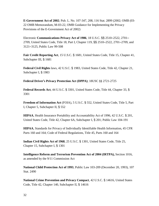**E-Government Act of 2002**; Pub. L. No. 107-347, 208, 116 Stat. 2899 (2002; OMB (03- 22 OMB Memorandum, M-03-22, OMB Guidance for Implementing the Privacy Provisions of the E-Government Act of 2002)

Electronic **Communications Privacy Act of 1986**, 18 U.S.C. §§ 2510–2522, 2701– 2709, United States Code, Title 18, Part I, Chapter 119, §§ 2510–2522, 2701–2709, and 3121–3125, Public Law 99-508

**Fair Credit Reporting Act**, 15 U.S.C. § 1681, United States Code, Title 15, Chapter 41, Subchapter III, § 1681

**Federal Civil Rights** laws, 42 U.S.C. § 1983, United States Code, Title 42, Chapter 21, Subchapter I, § 1983

**Federal Driver's Privacy Protection Act (DPPA)**; 18USC §§ 2721-2725

**Federal Records Act**, 44 U.S.C. § 3301, United States Code, Title 44, Chapter 33, § 3301

**Freedom of Information Act** (FOIA), 5 U.S.C. § 552, United States Code, Title 5, Part I, Chapter 5, Subchapter II, § 552

**HIPAA**, Health Insurance Portability and Accountability Act of 1996, 42 U.S.C. § 201, United States Code, Title 42, Chapter 6A, Subchapter I, § 201; Public Law 104-191

**HIPAA**, Standards for Privacy of Individually Identifiable Health Information, 45 CFR Parts 160 and 164; Code of Federal Regulations, Title 45, Parts 160 and 164

**Indian Civil Rights Act of 1968**, 25 U.S.C. § 1301, United States Code, Title 25, Chapter 15, Subchapter I, § 1301

**Intelligence Reform and Terrorism Prevention Act of 2004 (IRTPA),** Section 1016, as amended by the 9/11 Commission Act

**National Child Protection Act of 1993**, Public Law 103-209 (December 20, 1993), 107 Stat. 2490

**National Crime Prevention and Privacy Compact**, 42 U.S.C. § 14616, United States Code, Title 42, Chapter 140, Subchapter II, § 14616